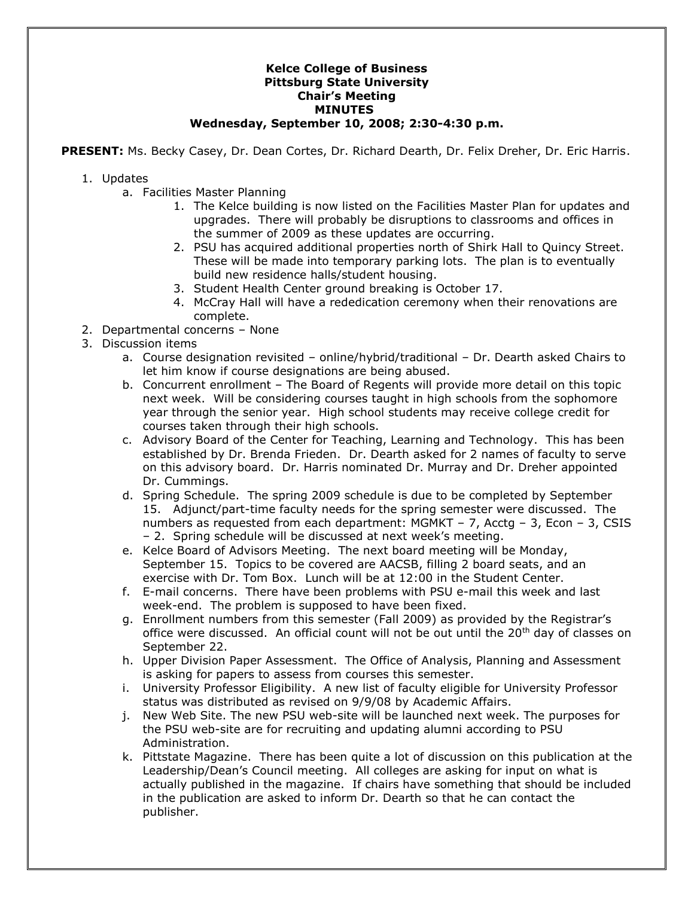## **Kelce College of Business Pittsburg State University Chair's Meeting MINUTES Wednesday, September 10, 2008; 2:30-4:30 p.m.**

**PRESENT:** Ms. Becky Casey, Dr. Dean Cortes, Dr. Richard Dearth, Dr. Felix Dreher, Dr. Eric Harris.

- 1. Updates
	- a. Facilities Master Planning
		- 1. The Kelce building is now listed on the Facilities Master Plan for updates and upgrades. There will probably be disruptions to classrooms and offices in the summer of 2009 as these updates are occurring.
		- 2. PSU has acquired additional properties north of Shirk Hall to Quincy Street. These will be made into temporary parking lots. The plan is to eventually build new residence halls/student housing.
		- 3. Student Health Center ground breaking is October 17.
		- 4. McCray Hall will have a rededication ceremony when their renovations are complete.
- 2. Departmental concerns None
- 3. Discussion items
	- a. Course designation revisited online/hybrid/traditional Dr. Dearth asked Chairs to let him know if course designations are being abused.
	- b. Concurrent enrollment The Board of Regents will provide more detail on this topic next week. Will be considering courses taught in high schools from the sophomore year through the senior year. High school students may receive college credit for courses taken through their high schools.
	- c. Advisory Board of the Center for Teaching, Learning and Technology. This has been established by Dr. Brenda Frieden. Dr. Dearth asked for 2 names of faculty to serve on this advisory board. Dr. Harris nominated Dr. Murray and Dr. Dreher appointed Dr. Cummings.
	- d. Spring Schedule. The spring 2009 schedule is due to be completed by September 15. Adjunct/part-time faculty needs for the spring semester were discussed. The numbers as requested from each department: MGMKT – 7, Acctg – 3, Econ – 3, CSIS – 2. Spring schedule will be discussed at next week's meeting.
	- e. Kelce Board of Advisors Meeting. The next board meeting will be Monday, September 15. Topics to be covered are AACSB, filling 2 board seats, and an exercise with Dr. Tom Box. Lunch will be at 12:00 in the Student Center.
	- f. E-mail concerns. There have been problems with PSU e-mail this week and last week-end. The problem is supposed to have been fixed.
	- g. Enrollment numbers from this semester (Fall 2009) as provided by the Registrar's office were discussed. An official count will not be out until the 20<sup>th</sup> day of classes on September 22.
	- h. Upper Division Paper Assessment. The Office of Analysis, Planning and Assessment is asking for papers to assess from courses this semester.
	- i. University Professor Eligibility. A new list of faculty eligible for University Professor status was distributed as revised on 9/9/08 by Academic Affairs.
	- j. New Web Site. The new PSU web-site will be launched next week. The purposes for the PSU web-site are for recruiting and updating alumni according to PSU Administration.
	- k. Pittstate Magazine. There has been quite a lot of discussion on this publication at the Leadership/Dean's Council meeting. All colleges are asking for input on what is actually published in the magazine. If chairs have something that should be included in the publication are asked to inform Dr. Dearth so that he can contact the publisher.